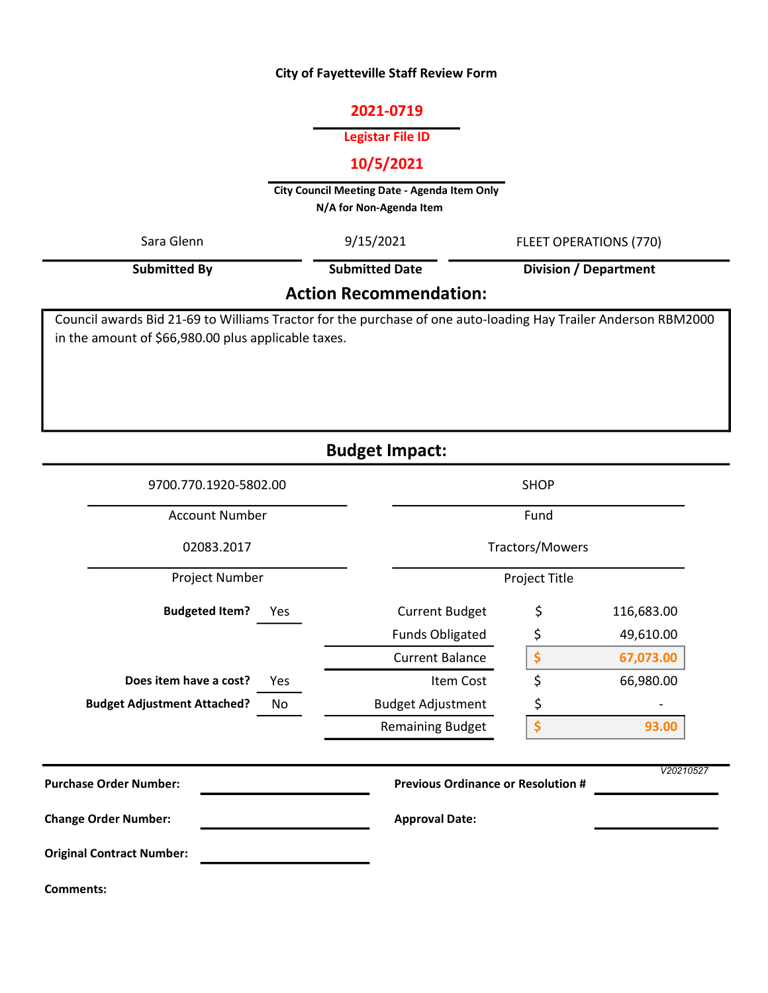#### City of Fayetteville Staff Review Form

#### 2021-0719

# Legistar File ID

# 10/5/2021

City Council Meeting Date - Agenda Item Only N/A for Non-Agenda Item

| Sara Glenn                    | 9/15/2021             | FLEET OPERATIONS (770) |  |  |  |  |  |  |  |
|-------------------------------|-----------------------|------------------------|--|--|--|--|--|--|--|
| Submitted By                  | <b>Submitted Date</b> | Division / Department  |  |  |  |  |  |  |  |
| <b>Action Recommendation:</b> |                       |                        |  |  |  |  |  |  |  |

Council awards Bid 21-69 to Williams Tractor for the purchase of one auto-loading Hay Trailer Anderson RBM2000 in the amount of \$66,980.00 plus applicable taxes.

Budget Impact:

| 9700.770.1920-5802.00                    | <b>SHOP</b>                               |           |            |  |  |  |  |  |
|------------------------------------------|-------------------------------------------|-----------|------------|--|--|--|--|--|
| <b>Account Number</b>                    |                                           | Fund      |            |  |  |  |  |  |
| 02083.2017                               | Tractors/Mowers<br>Project Title          |           |            |  |  |  |  |  |
| Project Number                           |                                           |           |            |  |  |  |  |  |
| <b>Budgeted Item?</b><br>Yes             | <b>Current Budget</b>                     | \$        | 116,683.00 |  |  |  |  |  |
|                                          | <b>Funds Obligated</b>                    | \$        | 49,610.00  |  |  |  |  |  |
|                                          | <b>Current Balance</b>                    | \$        | 67,073.00  |  |  |  |  |  |
| Does item have a cost?<br>Yes            | Item Cost                                 | \$        | 66,980.00  |  |  |  |  |  |
| <b>Budget Adjustment Attached?</b><br>No | <b>Budget Adjustment</b>                  | \$        |            |  |  |  |  |  |
|                                          | <b>Remaining Budget</b>                   | \$        | 93.00      |  |  |  |  |  |
| <b>Purchase Order Number:</b>            | <b>Previous Ordinance or Resolution #</b> | V20210527 |            |  |  |  |  |  |
| <b>Change Order Number:</b>              | <b>Approval Date:</b>                     |           |            |  |  |  |  |  |
| <b>Original Contract Number:</b>         |                                           |           |            |  |  |  |  |  |
| <b>Comments:</b>                         |                                           |           |            |  |  |  |  |  |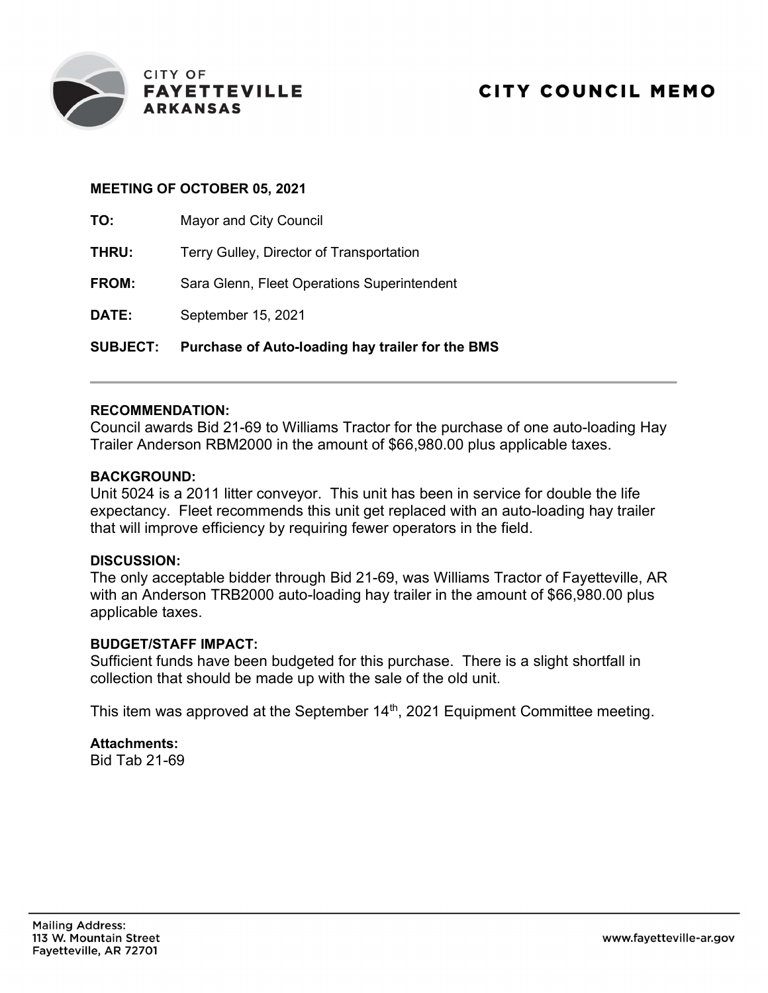

### MEETING OF OCTOBER 05, 2021

TO: Mayor and City Council

| <b>SUBJECT:</b> | Purchase of Auto-loading hay trailer for the BMS |
|-----------------|--------------------------------------------------|
| DATE:           | September 15, 2021                               |
| <b>FROM:</b>    | Sara Glenn, Fleet Operations Superintendent      |
| THRU:           | Terry Gulley, Director of Transportation         |
| 1U.             | <b>Mayor and City Council</b>                    |

# RECOMMENDATION:

Council awards Bid 21-69 to Williams Tractor for the purchase of one auto-loading Hay Trailer Anderson RBM2000 in the amount of \$66,980.00 plus applicable taxes.

#### BACKGROUND:

Unit 5024 is a 2011 litter conveyor. This unit has been in service for double the life expectancy. Fleet recommends this unit get replaced with an auto-loading hay trailer that will improve efficiency by requiring fewer operators in the field.

#### DISCUSSION:

The only acceptable bidder through Bid 21-69, was Williams Tractor of Fayetteville, AR with an Anderson TRB2000 auto-loading hay trailer in the amount of \$66,980.00 plus applicable taxes.

#### BUDGET/STAFF IMPACT:

Sufficient funds have been budgeted for this purchase. There is a slight shortfall in collection that should be made up with the sale of the old unit.

This item was approved at the September 14<sup>th</sup>, 2021 Equipment Committee meeting.

Attachments: Bid Tab 21-69